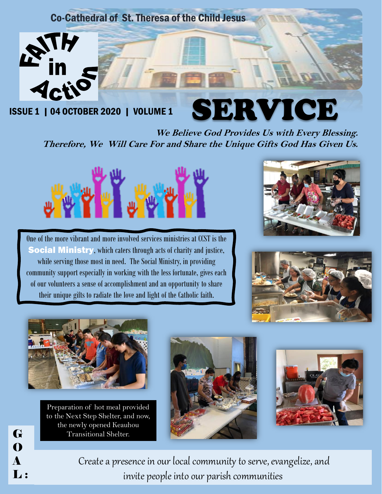#### Co-Cathedral of St. Theresa of the Child Jesus



ISSUE 1 | 04 OCTOBER 2020 | VOLUME 1

### SERVICE **We Believe God Provides Us with Every Blessing. Therefore, We Will Care For and Share the Unique Gifts God Has Given Us.**



One of the more vibrant and more involved services ministries at CCST is the Social Ministry, which caters through acts of charity and justice, while serving those most in need. The Social Ministry, in providing community support especially in working with the less fortunate, gives each of our volunteers a sense of accomplishment and an opportunity to share their unique gifts to radiate the love and light of the Catholic faith.







Preparation of hot meal provided to the Next Step Shelter, and now, the newly opened Keauhou Transitional Shelter.

G

O

A

L:





Create a presence in our local community to serve, evangelize, and invite people into our parish communities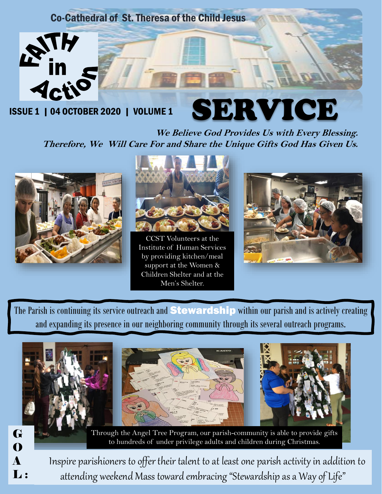### Co-Cathedral of St. Theresa of the Child Jesus



ISSUE 1 | 04 OCTOBER 2020 | VOLUME 1

# SERVICE

**We Believe God Provides Us with Every Blessing. Therefore, We Will Care For and Share the Unique Gifts God Has Given Us.** 





CCST Volunteers at the Institute of Human Services by providing kitchen/meal support at the Women & Children Shelter and at the Men's Shelter.



The Parish is continuing its service outreach and **Stewardship** within our parish and is actively creating and expanding its presence in our neighboring community through its several outreach programs.







Through the Angel Tree Program, our parish-community is able to provide gifts to hundreds of under privilege adults and children during Christmas.

Inspire parishioners to offer their talent to at least one parish activity in addition to attending weekend Mass toward embracing "Stewardship as a Way of Life"

G O A  $\mathbf{L}$ :